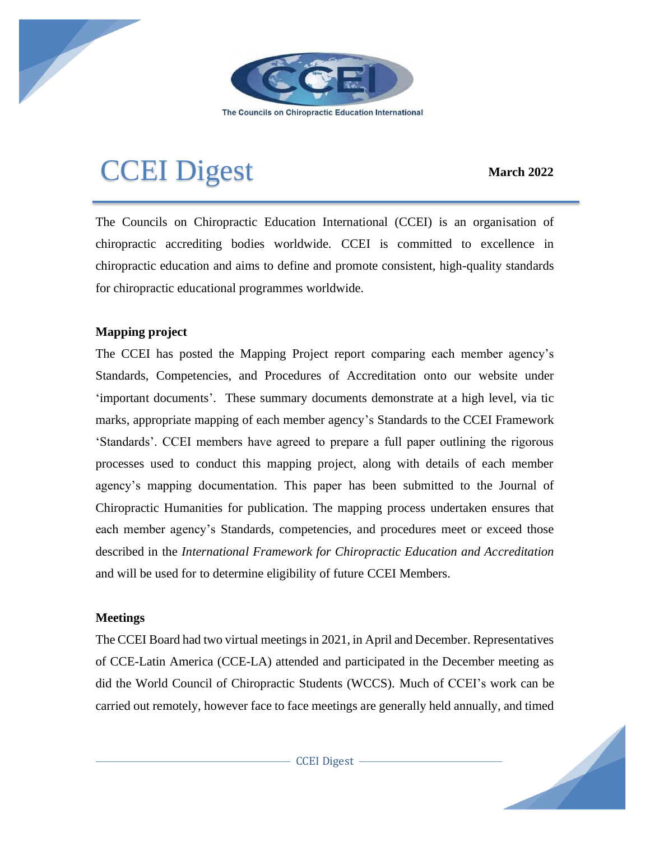

The Councils on Chiropractic Education International

# CCEI Digest **March <sup>2022</sup>**

The Councils on Chiropractic Education International (CCEI) is an organisation of chiropractic accrediting bodies worldwide. CCEI is committed to excellence in chiropractic education and aims to define and promote consistent, high-quality standards for chiropractic educational programmes worldwide.

## **Mapping project**

The CCEI has posted the Mapping Project report comparing each member agency's Standards, Competencies, and Procedures of Accreditation onto our website under 'important documents'. These summary documents demonstrate at a high level, via tic marks, appropriate mapping of each member agency's Standards to the CCEI Framework 'Standards'. CCEI members have agreed to prepare a full paper outlining the rigorous processes used to conduct this mapping project, along with details of each member agency's mapping documentation. This paper has been submitted to the Journal of Chiropractic Humanities for publication. The mapping process undertaken ensures that each member agency's Standards, competencies, and procedures meet or exceed those described in the *International Framework for Chiropractic Education and Accreditation* and will be used for to determine eligibility of future CCEI Members.

## **Meetings**

The CCEI Board had two virtual meetings in 2021, in April and December. Representatives of CCE-Latin America (CCE-LA) attended and participated in the December meeting as did the World Council of Chiropractic Students (WCCS). Much of CCEI's work can be carried out remotely, however face to face meetings are generally held annually, and timed